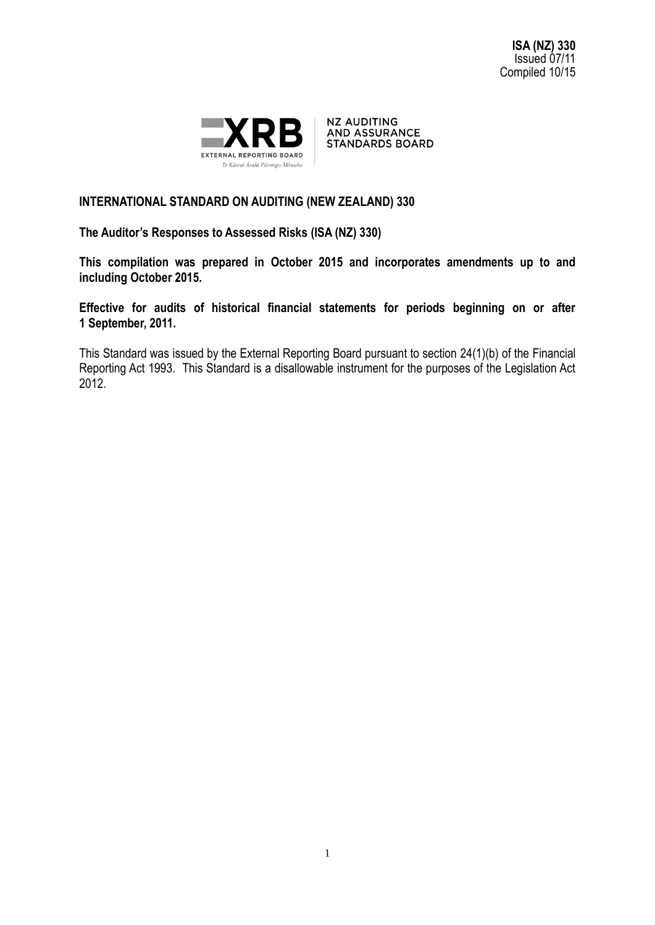

**NZ AUDITING** AND ASSURANCE **STANDARDS BOARD** 

### **INTERNATIONAL STANDARD ON AUDITING (NEW ZEALAND) 330**

**The Auditor's Responses to Assessed Risks (ISA (NZ) 330)**

**This compilation was prepared in October 2015 and incorporates amendments up to and including October 2015.**

**Effective for audits of historical financial statements for periods beginning on or after 1 September, 2011.**

This Standard was issued by the External Reporting Board pursuant to section 24(1)(b) of the Financial Reporting Act 1993. This Standard is a disallowable instrument for the purposes of the Legislation Act 2012.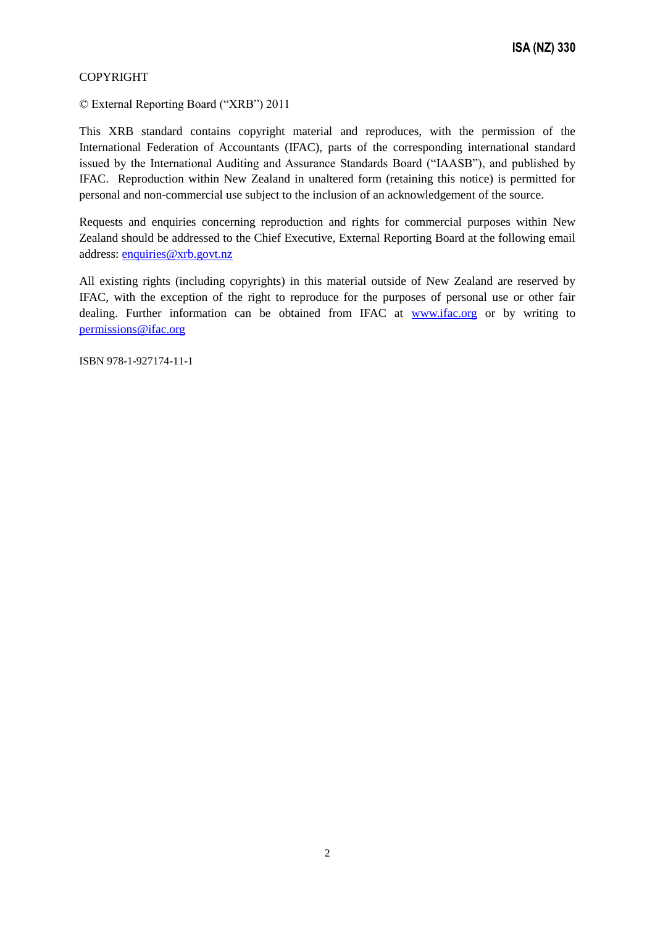#### COPYRIGHT

© External Reporting Board ("XRB") 2011

This XRB standard contains copyright material and reproduces, with the permission of the International Federation of Accountants (IFAC), parts of the corresponding international standard issued by the International Auditing and Assurance Standards Board ("IAASB"), and published by IFAC. Reproduction within New Zealand in unaltered form (retaining this notice) is permitted for personal and non-commercial use subject to the inclusion of an acknowledgement of the source.

Requests and enquiries concerning reproduction and rights for commercial purposes within New Zealand should be addressed to the Chief Executive, External Reporting Board at the following email address: [enquiries@xrb.govt.nz](mailto:enquiries@xrb.govt.nz)

All existing rights (including copyrights) in this material outside of New Zealand are reserved by IFAC, with the exception of the right to reproduce for the purposes of personal use or other fair dealing. Further information can be obtained from IFAC at [www.ifac.org](http://www.ifac.org/) or by writing to [permissions@ifac.org](mailto:permissions@ifac.org)

ISBN 978-1-927174-11-1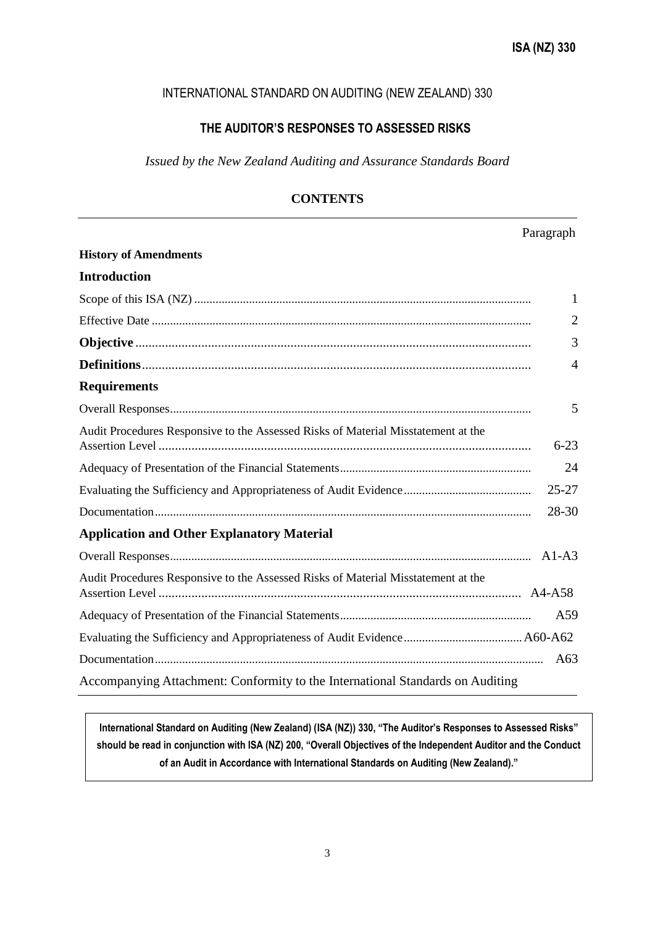### INTERNATIONAL STANDARD ON AUDITING (NEW ZEALAND) 330

### **THE AUDITOR'S RESPONSES TO ASSESSED RISKS**

*Issued by the New Zealand Auditing and Assurance Standards Board* 

### **CONTENTS**

#### Paragraph

| <b>History of Amendments</b>                                                      |                |
|-----------------------------------------------------------------------------------|----------------|
| <b>Introduction</b>                                                               |                |
|                                                                                   | -1             |
|                                                                                   | $\overline{2}$ |
|                                                                                   | 3              |
|                                                                                   | $\overline{A}$ |
| <b>Requirements</b>                                                               |                |
|                                                                                   | 5              |
| Audit Procedures Responsive to the Assessed Risks of Material Misstatement at the | $6 - 23$       |
|                                                                                   | 24             |
|                                                                                   | $25 - 27$      |
|                                                                                   | 28-30          |
| <b>Application and Other Explanatory Material</b>                                 |                |
|                                                                                   |                |
| Audit Procedures Responsive to the Assessed Risks of Material Misstatement at the |                |
|                                                                                   | A59            |
|                                                                                   |                |
|                                                                                   | A63            |
| Accompanying Attachment: Conformity to the International Standards on Auditing    |                |

**International Standard on Auditing (New Zealand) (ISA (NZ)) 330, "The Auditor's Responses to Assessed Risks" should be read in conjunction with ISA (NZ) 200, "Overall Objectives of the Independent Auditor and the Conduct of an Audit in Accordance with International Standards on Auditing (New Zealand)."**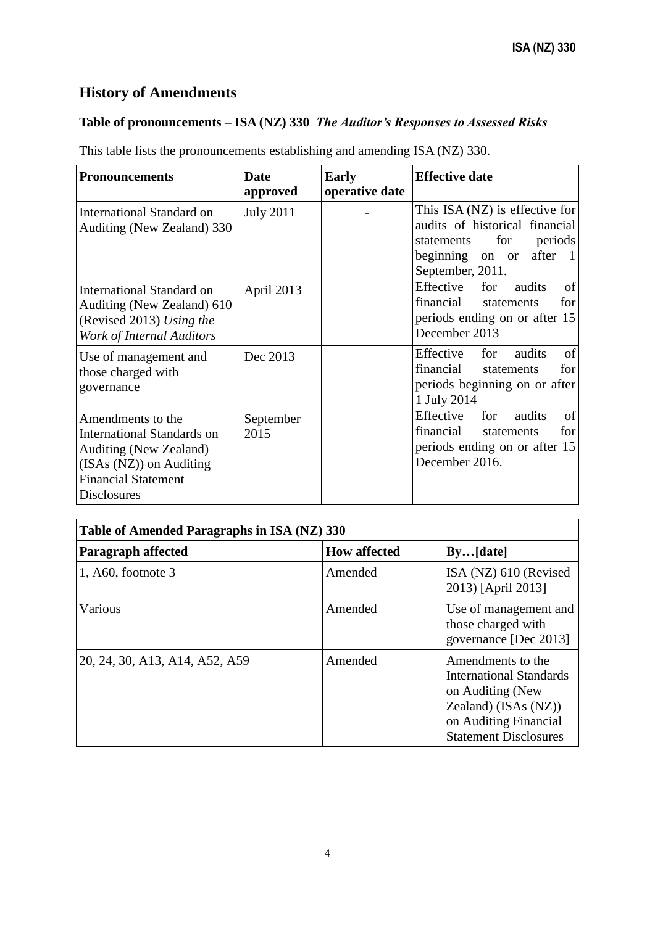# **History of Amendments**

# **Table of pronouncements – ISA (NZ) 330** *The Auditor's Responses to Assessed Risks*

| Pronouncements                                                                                                                                                  | Date<br>approved  | <b>Early</b><br>operative date | <b>Effective date</b>                                                                                                                              |
|-----------------------------------------------------------------------------------------------------------------------------------------------------------------|-------------------|--------------------------------|----------------------------------------------------------------------------------------------------------------------------------------------------|
| <b>International Standard on</b><br>Auditing (New Zealand) 330                                                                                                  | <b>July 2011</b>  |                                | This ISA (NZ) is effective for<br>audits of historical financial<br>for<br>periods<br>statements<br>beginning on or<br>after 1<br>September, 2011. |
| <b>International Standard on</b><br>Auditing (New Zealand) 610<br>(Revised 2013) Using the<br><b>Work of Internal Auditors</b>                                  | April 2013        |                                | Effective<br>for<br>audits<br>of<br>financial<br>statements<br>for<br>periods ending on or after 15<br>December 2013                               |
| Use of management and<br>those charged with<br>governance                                                                                                       | Dec 2013          |                                | of<br>Effective<br>audits<br>for<br>financial<br>for<br>statements<br>periods beginning on or after<br>1 July 2014                                 |
| Amendments to the<br><b>International Standards on</b><br>Auditing (New Zealand)<br>(ISAs (NZ)) on Auditing<br><b>Financial Statement</b><br><b>Disclosures</b> | September<br>2015 |                                | for<br>of<br>Effective<br>audits<br>financial<br>for<br>statements<br>periods ending on or after 15<br>December 2016.                              |

This table lists the pronouncements establishing and amending ISA (NZ) 330.

| Table of Amended Paragraphs in ISA (NZ) 330 |                     |                                                                                                                                                     |  |  |
|---------------------------------------------|---------------------|-----------------------------------------------------------------------------------------------------------------------------------------------------|--|--|
| <b>Paragraph affected</b>                   | <b>How affected</b> | By[date]                                                                                                                                            |  |  |
| 1, A60, footnote 3                          | Amended             | ISA (NZ) 610 (Revised<br>2013) [April 2013]                                                                                                         |  |  |
| Various                                     | Amended             | Use of management and<br>those charged with<br>governance [Dec 2013]                                                                                |  |  |
| 20, 24, 30, A13, A14, A52, A59              | Amended             | Amendments to the<br>International Standards<br>on Auditing (New<br>Zealand) $(ISAs (NZ))$<br>on Auditing Financial<br><b>Statement Disclosures</b> |  |  |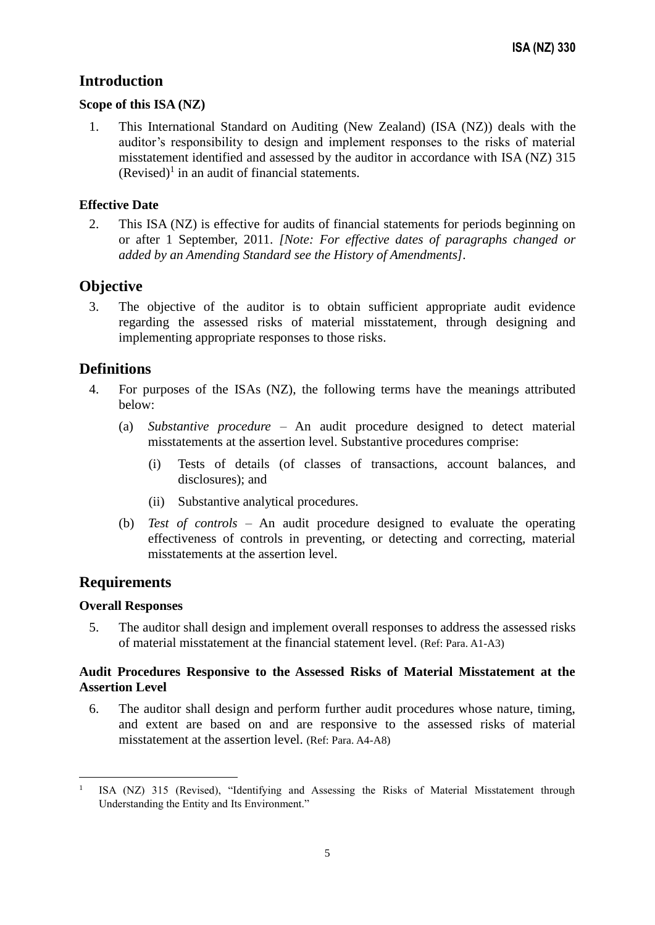# **Introduction**

### **Scope of this ISA (NZ)**

1. This International Standard on Auditing (New Zealand) (ISA (NZ)) deals with the auditor's responsibility to design and implement responses to the risks of material misstatement identified and assessed by the auditor in accordance with ISA (NZ) 315  $(Revised)^1$  in an audit of financial statements.

## **Effective Date**

2. This ISA (NZ) is effective for audits of financial statements for periods beginning on or after 1 September, 2011. *[Note: For effective dates of paragraphs changed or added by an Amending Standard see the History of Amendments].*

# **Objective**

3. The objective of the auditor is to obtain sufficient appropriate audit evidence regarding the assessed risks of material misstatement, through designing and implementing appropriate responses to those risks.

# **Definitions**

- 4. For purposes of the ISAs (NZ), the following terms have the meanings attributed below:
	- (a) *Substantive procedure* An audit procedure designed to detect material misstatements at the assertion level. Substantive procedures comprise:
		- (i) Tests of details (of classes of transactions, account balances, and disclosures); and
		- (ii) Substantive analytical procedures.
	- (b) *Test of controls* An audit procedure designed to evaluate the operating effectiveness of controls in preventing, or detecting and correcting, material misstatements at the assertion level.

# **Requirements**

### **Overall Responses**

5. The auditor shall design and implement overall responses to address the assessed risks of material misstatement at the financial statement level. (Ref: Para. A1-A3)

### **Audit Procedures Responsive to the Assessed Risks of Material Misstatement at the Assertion Level**

6. The auditor shall design and perform further audit procedures whose nature, timing, and extent are based on and are responsive to the assessed risks of material misstatement at the assertion level. (Ref: Para. A4-A8)

<sup>1</sup> 1 ISA (NZ) 315 (Revised), "Identifying and Assessing the Risks of Material Misstatement through Understanding the Entity and Its Environment."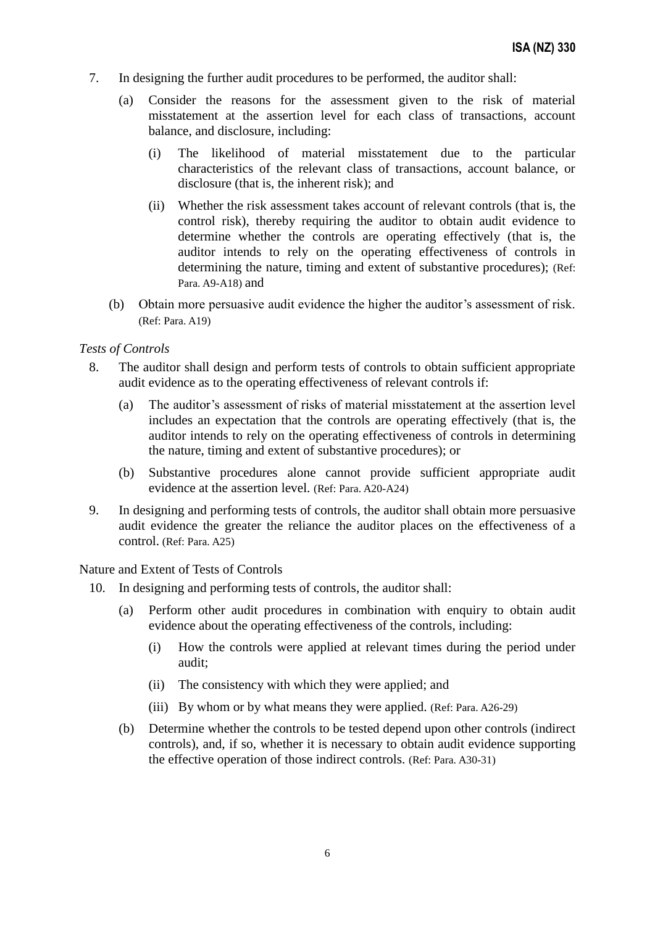- 7. In designing the further audit procedures to be performed, the auditor shall:
	- (a) Consider the reasons for the assessment given to the risk of material misstatement at the assertion level for each class of transactions, account balance, and disclosure, including:
		- (i) The likelihood of material misstatement due to the particular characteristics of the relevant class of transactions, account balance, or disclosure (that is, the inherent risk); and
		- (ii) Whether the risk assessment takes account of relevant controls (that is, the control risk), thereby requiring the auditor to obtain audit evidence to determine whether the controls are operating effectively (that is, the auditor intends to rely on the operating effectiveness of controls in determining the nature, timing and extent of substantive procedures); (Ref: Para. A9-A18) and
	- (b) Obtain more persuasive audit evidence the higher the auditor's assessment of risk. (Ref: Para. A19)

#### *Tests of Controls*

- 8. The auditor shall design and perform tests of controls to obtain sufficient appropriate audit evidence as to the operating effectiveness of relevant controls if:
	- (a) The auditor's assessment of risks of material misstatement at the assertion level includes an expectation that the controls are operating effectively (that is, the auditor intends to rely on the operating effectiveness of controls in determining the nature, timing and extent of substantive procedures); or
	- (b) Substantive procedures alone cannot provide sufficient appropriate audit evidence at the assertion level. (Ref: Para. A20-A24)
- 9. In designing and performing tests of controls, the auditor shall obtain more persuasive audit evidence the greater the reliance the auditor places on the effectiveness of a control. (Ref: Para. A25)

#### Nature and Extent of Tests of Controls

- 10. In designing and performing tests of controls, the auditor shall:
	- (a) Perform other audit procedures in combination with enquiry to obtain audit evidence about the operating effectiveness of the controls, including:
		- (i) How the controls were applied at relevant times during the period under audit;
		- (ii) The consistency with which they were applied; and
		- (iii) By whom or by what means they were applied. (Ref: Para. A26-29)
	- (b) Determine whether the controls to be tested depend upon other controls (indirect controls), and, if so, whether it is necessary to obtain audit evidence supporting the effective operation of those indirect controls. (Ref: Para. A30-31)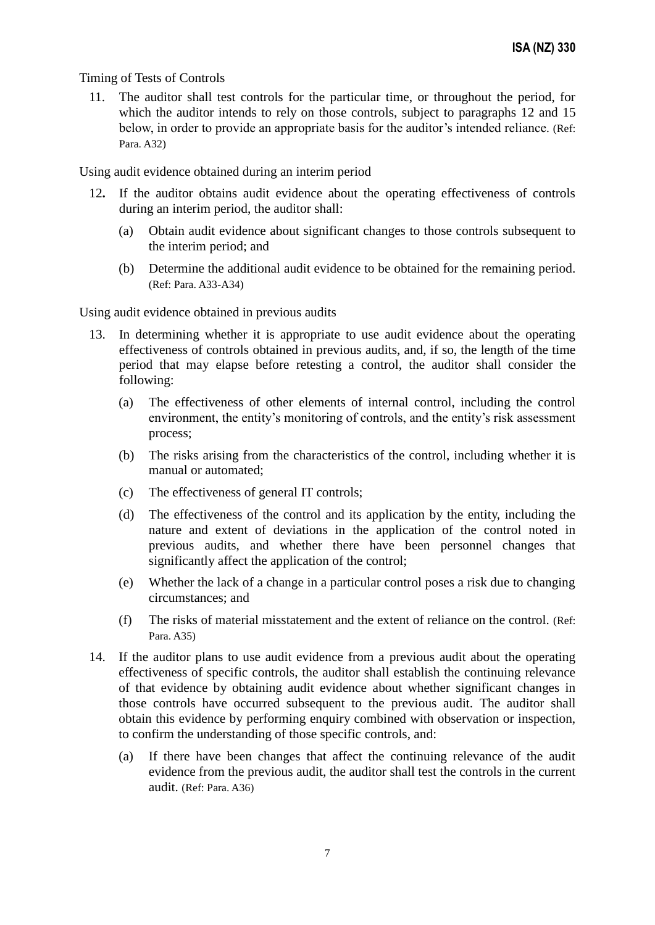Timing of Tests of Controls

11. The auditor shall test controls for the particular time, or throughout the period, for which the auditor intends to rely on those controls, subject to paragraphs 12 and 15 below, in order to provide an appropriate basis for the auditor's intended reliance. (Ref: Para. A32)

Using audit evidence obtained during an interim period

- 12**.** If the auditor obtains audit evidence about the operating effectiveness of controls during an interim period, the auditor shall:
	- (a) Obtain audit evidence about significant changes to those controls subsequent to the interim period; and
	- (b) Determine the additional audit evidence to be obtained for the remaining period. (Ref: Para. A33-A34)

Using audit evidence obtained in previous audits

- 13. In determining whether it is appropriate to use audit evidence about the operating effectiveness of controls obtained in previous audits, and, if so, the length of the time period that may elapse before retesting a control, the auditor shall consider the following:
	- (a) The effectiveness of other elements of internal control, including the control environment, the entity's monitoring of controls, and the entity's risk assessment process;
	- (b) The risks arising from the characteristics of the control, including whether it is manual or automated;
	- (c) The effectiveness of general IT controls;
	- (d) The effectiveness of the control and its application by the entity, including the nature and extent of deviations in the application of the control noted in previous audits, and whether there have been personnel changes that significantly affect the application of the control;
	- (e) Whether the lack of a change in a particular control poses a risk due to changing circumstances; and
	- (f) The risks of material misstatement and the extent of reliance on the control. (Ref: Para. A35)
- 14. If the auditor plans to use audit evidence from a previous audit about the operating effectiveness of specific controls, the auditor shall establish the continuing relevance of that evidence by obtaining audit evidence about whether significant changes in those controls have occurred subsequent to the previous audit. The auditor shall obtain this evidence by performing enquiry combined with observation or inspection, to confirm the understanding of those specific controls, and:
	- (a) If there have been changes that affect the continuing relevance of the audit evidence from the previous audit, the auditor shall test the controls in the current audit. (Ref: Para. A36)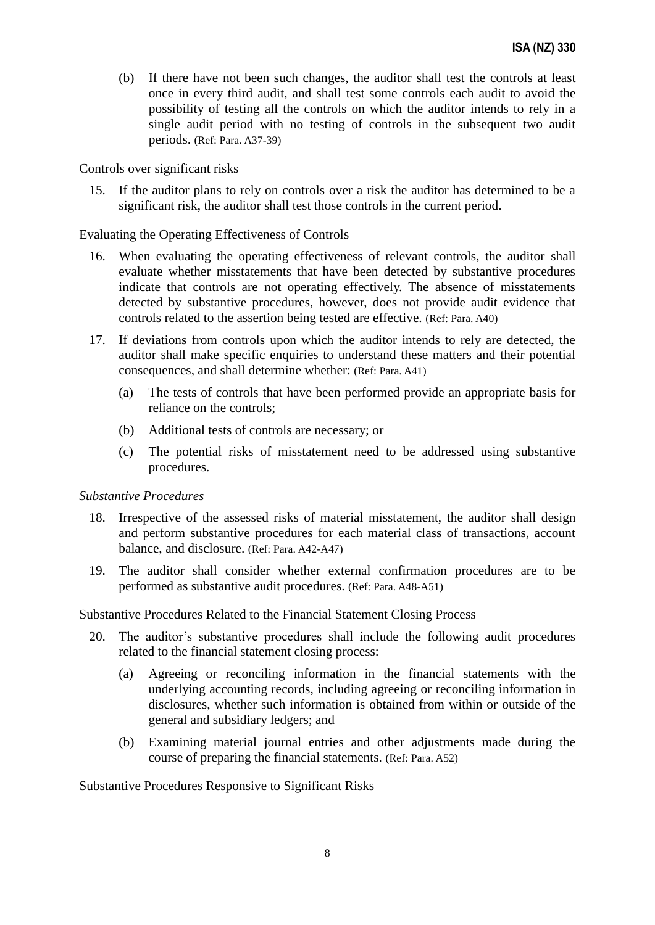(b) If there have not been such changes, the auditor shall test the controls at least once in every third audit, and shall test some controls each audit to avoid the possibility of testing all the controls on which the auditor intends to rely in a single audit period with no testing of controls in the subsequent two audit periods. (Ref: Para. A37-39)

#### Controls over significant risks

15. If the auditor plans to rely on controls over a risk the auditor has determined to be a significant risk, the auditor shall test those controls in the current period.

#### Evaluating the Operating Effectiveness of Controls

- 16. When evaluating the operating effectiveness of relevant controls, the auditor shall evaluate whether misstatements that have been detected by substantive procedures indicate that controls are not operating effectively. The absence of misstatements detected by substantive procedures, however, does not provide audit evidence that controls related to the assertion being tested are effective. (Ref: Para. A40)
- 17. If deviations from controls upon which the auditor intends to rely are detected, the auditor shall make specific enquiries to understand these matters and their potential consequences, and shall determine whether: (Ref: Para. A41)
	- (a) The tests of controls that have been performed provide an appropriate basis for reliance on the controls;
	- (b) Additional tests of controls are necessary; or
	- (c) The potential risks of misstatement need to be addressed using substantive procedures.

#### *Substantive Procedures*

- 18. Irrespective of the assessed risks of material misstatement, the auditor shall design and perform substantive procedures for each material class of transactions, account balance, and disclosure. (Ref: Para. A42-A47)
- 19. The auditor shall consider whether external confirmation procedures are to be performed as substantive audit procedures. (Ref: Para. A48-A51)

Substantive Procedures Related to the Financial Statement Closing Process

- 20. The auditor's substantive procedures shall include the following audit procedures related to the financial statement closing process:
	- (a) Agreeing or reconciling information in the financial statements with the underlying accounting records, including agreeing or reconciling information in disclosures, whether such information is obtained from within or outside of the general and subsidiary ledgers; and
	- (b) Examining material journal entries and other adjustments made during the course of preparing the financial statements. (Ref: Para. A52)

Substantive Procedures Responsive to Significant Risks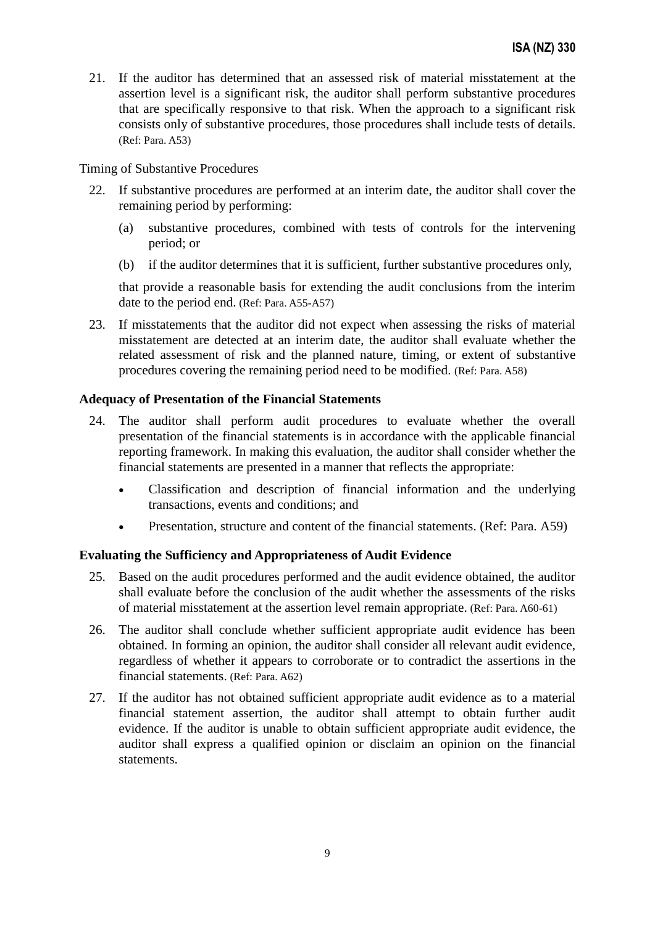21. If the auditor has determined that an assessed risk of material misstatement at the assertion level is a significant risk, the auditor shall perform substantive procedures that are specifically responsive to that risk. When the approach to a significant risk consists only of substantive procedures, those procedures shall include tests of details. (Ref: Para. A53)

#### Timing of Substantive Procedures

- 22. If substantive procedures are performed at an interim date, the auditor shall cover the remaining period by performing:
	- (a) substantive procedures, combined with tests of controls for the intervening period; or
	- (b) if the auditor determines that it is sufficient, further substantive procedures only,

that provide a reasonable basis for extending the audit conclusions from the interim date to the period end. (Ref: Para. A55-A57)

23. If misstatements that the auditor did not expect when assessing the risks of material misstatement are detected at an interim date, the auditor shall evaluate whether the related assessment of risk and the planned nature, timing, or extent of substantive procedures covering the remaining period need to be modified. (Ref: Para. A58)

### **Adequacy of Presentation of the Financial Statements**

- 24. The auditor shall perform audit procedures to evaluate whether the overall presentation of the financial statements is in accordance with the applicable financial reporting framework. In making this evaluation, the auditor shall consider whether the financial statements are presented in a manner that reflects the appropriate:
	- Classification and description of financial information and the underlying transactions, events and conditions; and
	- Presentation, structure and content of the financial statements. (Ref: Para. A59)

#### **Evaluating the Sufficiency and Appropriateness of Audit Evidence**

- 25. Based on the audit procedures performed and the audit evidence obtained, the auditor shall evaluate before the conclusion of the audit whether the assessments of the risks of material misstatement at the assertion level remain appropriate. (Ref: Para. A60-61)
- 26. The auditor shall conclude whether sufficient appropriate audit evidence has been obtained. In forming an opinion, the auditor shall consider all relevant audit evidence, regardless of whether it appears to corroborate or to contradict the assertions in the financial statements. (Ref: Para. A62)
- 27. If the auditor has not obtained sufficient appropriate audit evidence as to a material financial statement assertion, the auditor shall attempt to obtain further audit evidence. If the auditor is unable to obtain sufficient appropriate audit evidence, the auditor shall express a qualified opinion or disclaim an opinion on the financial statements.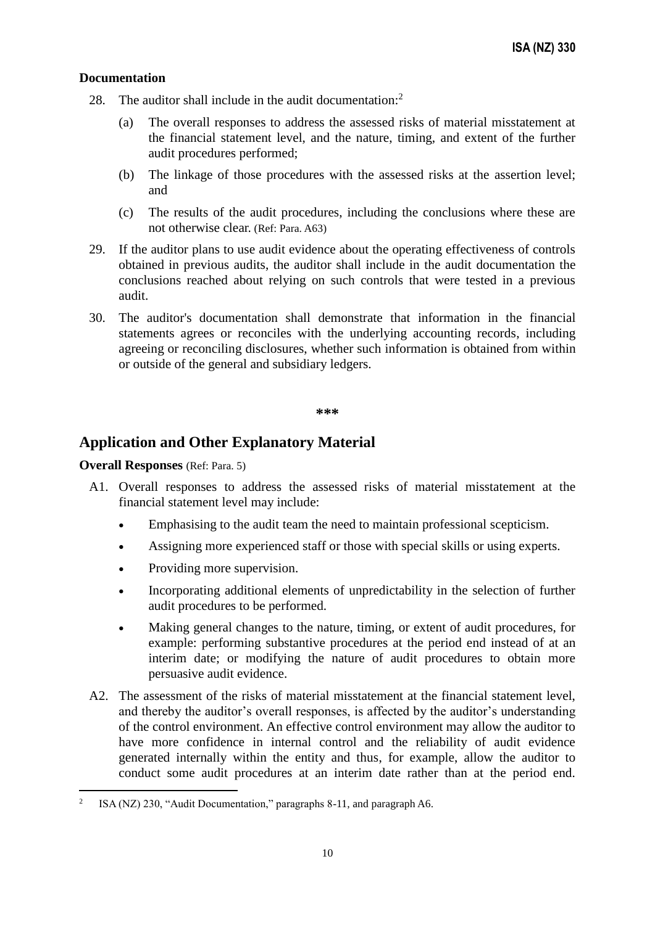### **Documentation**

28. The auditor shall include in the audit documentation:<sup>2</sup>

- (a) The overall responses to address the assessed risks of material misstatement at the financial statement level, and the nature, timing, and extent of the further audit procedures performed;
- (b) The linkage of those procedures with the assessed risks at the assertion level; and
- (c) The results of the audit procedures, including the conclusions where these are not otherwise clear. (Ref: Para. A63)
- 29. If the auditor plans to use audit evidence about the operating effectiveness of controls obtained in previous audits, the auditor shall include in the audit documentation the conclusions reached about relying on such controls that were tested in a previous audit.
- 30. The auditor's documentation shall demonstrate that information in the financial statements agrees or reconciles with the underlying accounting records, including agreeing or reconciling disclosures, whether such information is obtained from within or outside of the general and subsidiary ledgers.

**\*\*\***

# **Application and Other Explanatory Material**

#### **Overall Responses** (Ref: Para. 5)

- A1. Overall responses to address the assessed risks of material misstatement at the financial statement level may include:
	- Emphasising to the audit team the need to maintain professional scepticism.
	- Assigning more experienced staff or those with special skills or using experts.
	- Providing more supervision.
	- Incorporating additional elements of unpredictability in the selection of further audit procedures to be performed.
	- Making general changes to the nature, timing, or extent of audit procedures, for example: performing substantive procedures at the period end instead of at an interim date; or modifying the nature of audit procedures to obtain more persuasive audit evidence.
- A2. The assessment of the risks of material misstatement at the financial statement level, and thereby the auditor's overall responses, is affected by the auditor's understanding of the control environment. An effective control environment may allow the auditor to have more confidence in internal control and the reliability of audit evidence generated internally within the entity and thus, for example, allow the auditor to conduct some audit procedures at an interim date rather than at the period end.

<sup>&</sup>lt;sup>2</sup> ISA (NZ) 230, "Audit Documentation," paragraphs 8-11, and paragraph A6.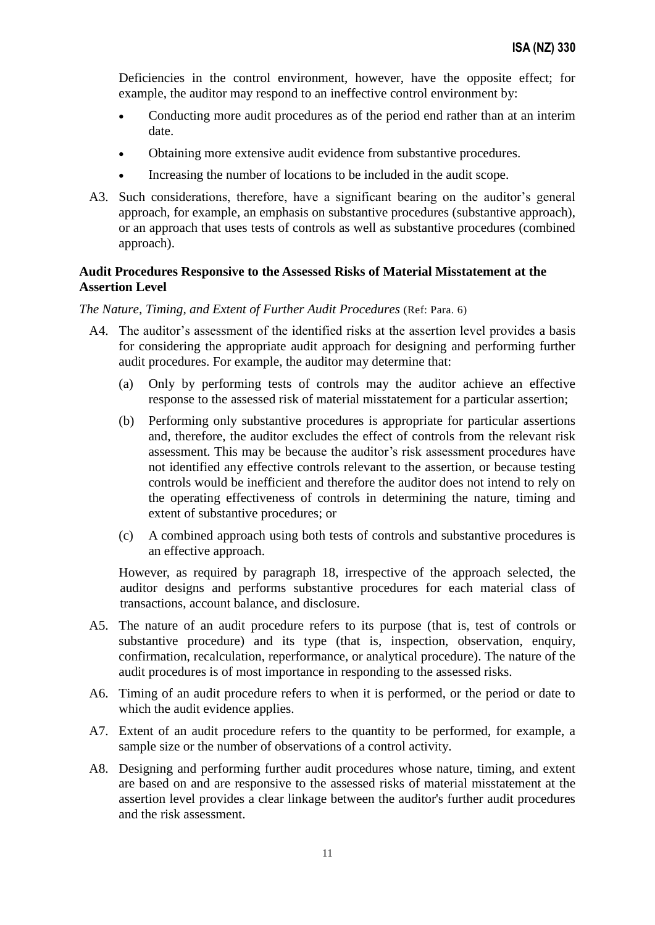Deficiencies in the control environment, however, have the opposite effect; for example, the auditor may respond to an ineffective control environment by:

- Conducting more audit procedures as of the period end rather than at an interim date.
- Obtaining more extensive audit evidence from substantive procedures.
- Increasing the number of locations to be included in the audit scope.
- A3. Such considerations, therefore, have a significant bearing on the auditor's general approach, for example, an emphasis on substantive procedures (substantive approach), or an approach that uses tests of controls as well as substantive procedures (combined approach).

#### **Audit Procedures Responsive to the Assessed Risks of Material Misstatement at the Assertion Level**

*The Nature, Timing, and Extent of Further Audit Procedures (Ref: Para. 6)* 

- A4. The auditor's assessment of the identified risks at the assertion level provides a basis for considering the appropriate audit approach for designing and performing further audit procedures. For example, the auditor may determine that:
	- (a) Only by performing tests of controls may the auditor achieve an effective response to the assessed risk of material misstatement for a particular assertion;
	- (b) Performing only substantive procedures is appropriate for particular assertions and, therefore, the auditor excludes the effect of controls from the relevant risk assessment. This may be because the auditor's risk assessment procedures have not identified any effective controls relevant to the assertion, or because testing controls would be inefficient and therefore the auditor does not intend to rely on the operating effectiveness of controls in determining the nature, timing and extent of substantive procedures; or
	- (c) A combined approach using both tests of controls and substantive procedures is an effective approach.

However, as required by paragraph 18, irrespective of the approach selected, the auditor designs and performs substantive procedures for each material class of transactions, account balance, and disclosure.

- A5. The nature of an audit procedure refers to its purpose (that is, test of controls or substantive procedure) and its type (that is, inspection, observation, enquiry, confirmation, recalculation, reperformance, or analytical procedure). The nature of the audit procedures is of most importance in responding to the assessed risks.
- A6. Timing of an audit procedure refers to when it is performed, or the period or date to which the audit evidence applies.
- A7. Extent of an audit procedure refers to the quantity to be performed, for example, a sample size or the number of observations of a control activity.
- A8. Designing and performing further audit procedures whose nature, timing, and extent are based on and are responsive to the assessed risks of material misstatement at the assertion level provides a clear linkage between the auditor's further audit procedures and the risk assessment.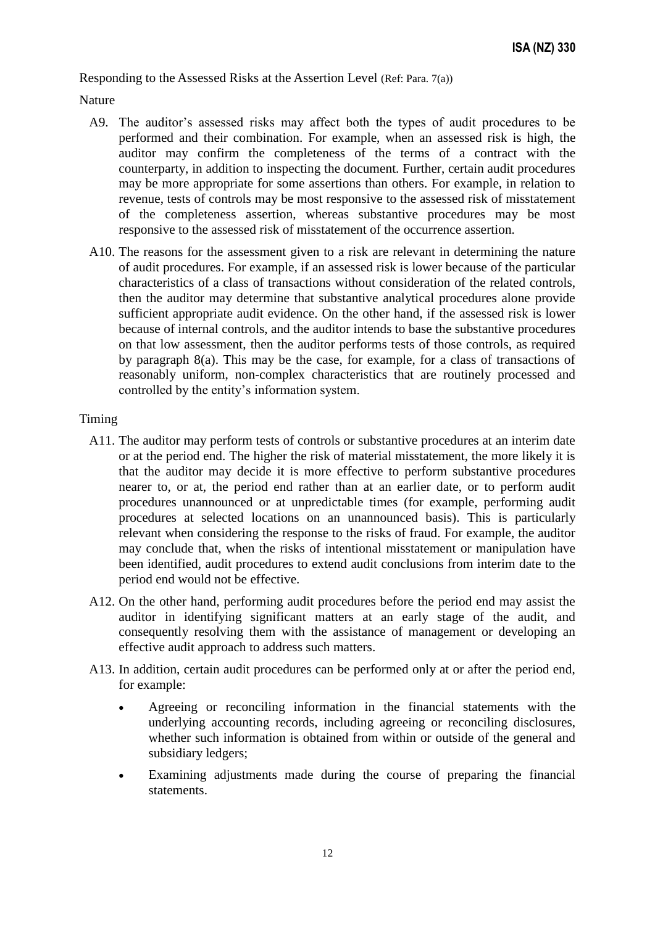Responding to the Assessed Risks at the Assertion Level (Ref: Para. 7(a))

Nature

- A9. The auditor's assessed risks may affect both the types of audit procedures to be performed and their combination. For example, when an assessed risk is high, the auditor may confirm the completeness of the terms of a contract with the counterparty, in addition to inspecting the document. Further, certain audit procedures may be more appropriate for some assertions than others. For example, in relation to revenue, tests of controls may be most responsive to the assessed risk of misstatement of the completeness assertion, whereas substantive procedures may be most responsive to the assessed risk of misstatement of the occurrence assertion.
- A10. The reasons for the assessment given to a risk are relevant in determining the nature of audit procedures. For example, if an assessed risk is lower because of the particular characteristics of a class of transactions without consideration of the related controls, then the auditor may determine that substantive analytical procedures alone provide sufficient appropriate audit evidence. On the other hand, if the assessed risk is lower because of internal controls, and the auditor intends to base the substantive procedures on that low assessment, then the auditor performs tests of those controls, as required by paragraph 8(a). This may be the case, for example, for a class of transactions of reasonably uniform, non-complex characteristics that are routinely processed and controlled by the entity's information system.

#### Timing

- A11. The auditor may perform tests of controls or substantive procedures at an interim date or at the period end. The higher the risk of material misstatement, the more likely it is that the auditor may decide it is more effective to perform substantive procedures nearer to, or at, the period end rather than at an earlier date, or to perform audit procedures unannounced or at unpredictable times (for example, performing audit procedures at selected locations on an unannounced basis). This is particularly relevant when considering the response to the risks of fraud. For example, the auditor may conclude that, when the risks of intentional misstatement or manipulation have been identified, audit procedures to extend audit conclusions from interim date to the period end would not be effective.
- A12. On the other hand, performing audit procedures before the period end may assist the auditor in identifying significant matters at an early stage of the audit, and consequently resolving them with the assistance of management or developing an effective audit approach to address such matters.
- A13. In addition, certain audit procedures can be performed only at or after the period end, for example:
	- Agreeing or reconciling information in the financial statements with the underlying accounting records, including agreeing or reconciling disclosures, whether such information is obtained from within or outside of the general and subsidiary ledgers;
	- Examining adjustments made during the course of preparing the financial statements.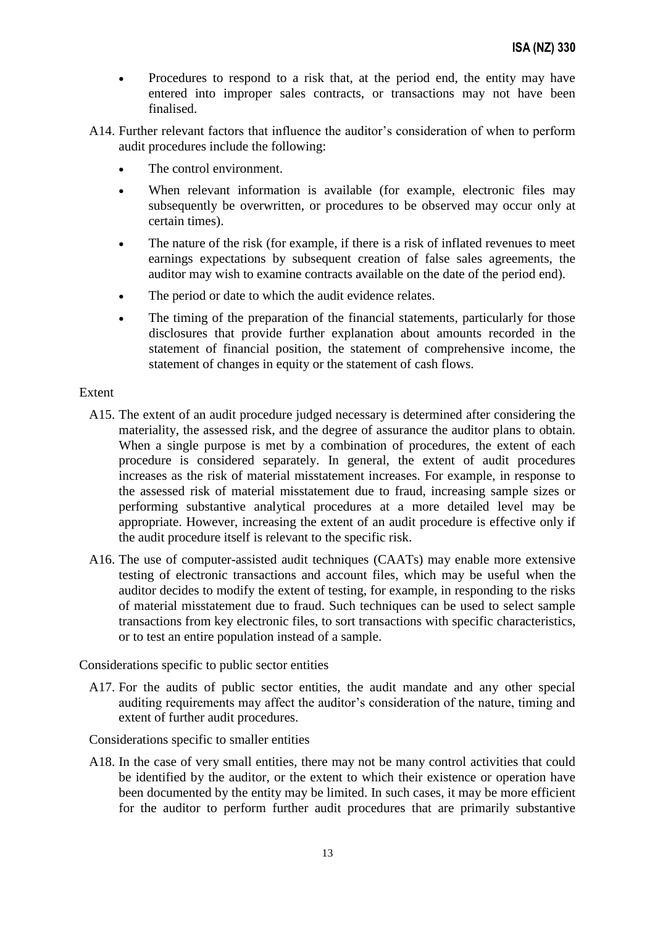- Procedures to respond to a risk that, at the period end, the entity may have entered into improper sales contracts, or transactions may not have been finalised.
- A14. Further relevant factors that influence the auditor's consideration of when to perform audit procedures include the following:
	- The control environment.
	- When relevant information is available (for example, electronic files may subsequently be overwritten, or procedures to be observed may occur only at certain times).
	- The nature of the risk (for example, if there is a risk of inflated revenues to meet earnings expectations by subsequent creation of false sales agreements, the auditor may wish to examine contracts available on the date of the period end).
	- The period or date to which the audit evidence relates.
	- The timing of the preparation of the financial statements, particularly for those disclosures that provide further explanation about amounts recorded in the statement of financial position, the statement of comprehensive income, the statement of changes in equity or the statement of cash flows.

#### Extent

- A15. The extent of an audit procedure judged necessary is determined after considering the materiality, the assessed risk, and the degree of assurance the auditor plans to obtain. When a single purpose is met by a combination of procedures, the extent of each procedure is considered separately. In general, the extent of audit procedures increases as the risk of material misstatement increases. For example, in response to the assessed risk of material misstatement due to fraud, increasing sample sizes or performing substantive analytical procedures at a more detailed level may be appropriate. However, increasing the extent of an audit procedure is effective only if the audit procedure itself is relevant to the specific risk.
- A16. The use of computer-assisted audit techniques (CAATs) may enable more extensive testing of electronic transactions and account files, which may be useful when the auditor decides to modify the extent of testing, for example, in responding to the risks of material misstatement due to fraud. Such techniques can be used to select sample transactions from key electronic files, to sort transactions with specific characteristics, or to test an entire population instead of a sample.

#### Considerations specific to public sector entities

A17. For the audits of public sector entities, the audit mandate and any other special auditing requirements may affect the auditor's consideration of the nature, timing and extent of further audit procedures.

Considerations specific to smaller entities

A18. In the case of very small entities, there may not be many control activities that could be identified by the auditor, or the extent to which their existence or operation have been documented by the entity may be limited. In such cases, it may be more efficient for the auditor to perform further audit procedures that are primarily substantive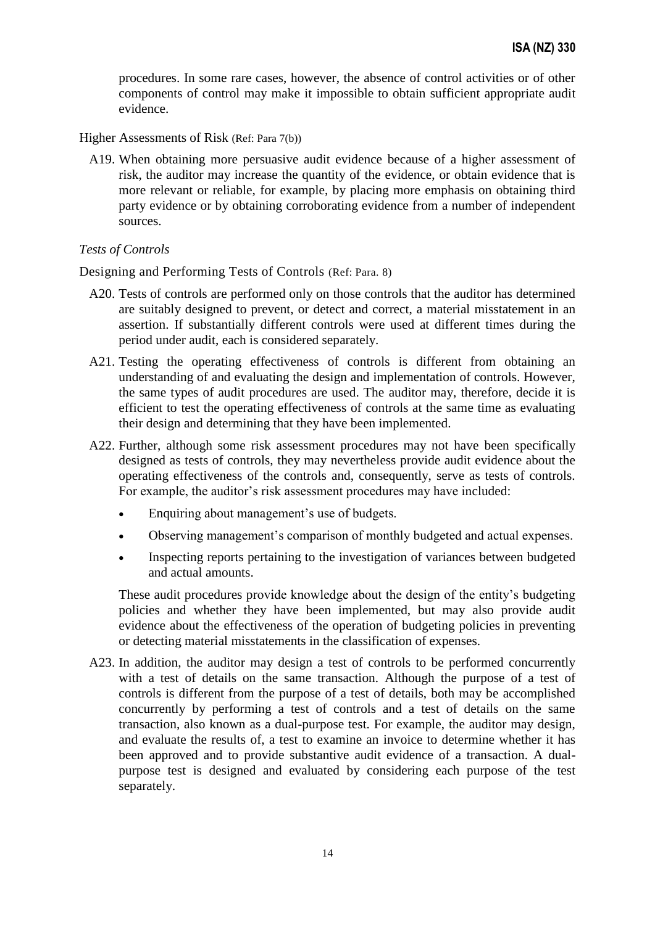procedures. In some rare cases, however, the absence of control activities or of other components of control may make it impossible to obtain sufficient appropriate audit evidence.

Higher Assessments of Risk (Ref: Para 7(b))

A19. When obtaining more persuasive audit evidence because of a higher assessment of risk, the auditor may increase the quantity of the evidence, or obtain evidence that is more relevant or reliable, for example, by placing more emphasis on obtaining third party evidence or by obtaining corroborating evidence from a number of independent sources.

#### *Tests of Controls*

Designing and Performing Tests of Controls (Ref: Para. 8)

- A20. Tests of controls are performed only on those controls that the auditor has determined are suitably designed to prevent, or detect and correct, a material misstatement in an assertion. If substantially different controls were used at different times during the period under audit, each is considered separately.
- A21. Testing the operating effectiveness of controls is different from obtaining an understanding of and evaluating the design and implementation of controls. However, the same types of audit procedures are used. The auditor may, therefore, decide it is efficient to test the operating effectiveness of controls at the same time as evaluating their design and determining that they have been implemented.
- A22. Further, although some risk assessment procedures may not have been specifically designed as tests of controls, they may nevertheless provide audit evidence about the operating effectiveness of the controls and, consequently, serve as tests of controls. For example, the auditor's risk assessment procedures may have included:
	- Enquiring about management's use of budgets.
	- Observing management's comparison of monthly budgeted and actual expenses.
	- Inspecting reports pertaining to the investigation of variances between budgeted and actual amounts.

These audit procedures provide knowledge about the design of the entity's budgeting policies and whether they have been implemented, but may also provide audit evidence about the effectiveness of the operation of budgeting policies in preventing or detecting material misstatements in the classification of expenses.

A23. In addition, the auditor may design a test of controls to be performed concurrently with a test of details on the same transaction. Although the purpose of a test of controls is different from the purpose of a test of details, both may be accomplished concurrently by performing a test of controls and a test of details on the same transaction, also known as a dual-purpose test. For example, the auditor may design, and evaluate the results of, a test to examine an invoice to determine whether it has been approved and to provide substantive audit evidence of a transaction. A dualpurpose test is designed and evaluated by considering each purpose of the test separately.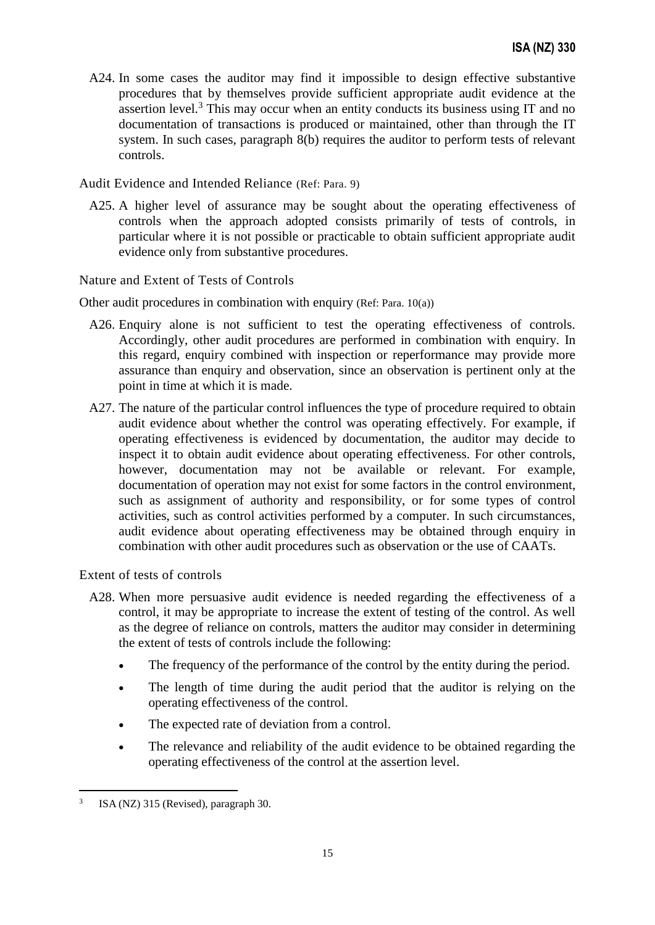A24. In some cases the auditor may find it impossible to design effective substantive procedures that by themselves provide sufficient appropriate audit evidence at the assertion level.<sup>3</sup> This may occur when an entity conducts its business using IT and no documentation of transactions is produced or maintained, other than through the IT system. In such cases, paragraph 8(b) requires the auditor to perform tests of relevant controls.

Audit Evidence and Intended Reliance (Ref: Para. 9)

A25. A higher level of assurance may be sought about the operating effectiveness of controls when the approach adopted consists primarily of tests of controls, in particular where it is not possible or practicable to obtain sufficient appropriate audit evidence only from substantive procedures.

Nature and Extent of Tests of Controls

Other audit procedures in combination with enquiry (Ref: Para. 10(a))

- A26. Enquiry alone is not sufficient to test the operating effectiveness of controls. Accordingly, other audit procedures are performed in combination with enquiry. In this regard, enquiry combined with inspection or reperformance may provide more assurance than enquiry and observation, since an observation is pertinent only at the point in time at which it is made.
- A27. The nature of the particular control influences the type of procedure required to obtain audit evidence about whether the control was operating effectively. For example, if operating effectiveness is evidenced by documentation, the auditor may decide to inspect it to obtain audit evidence about operating effectiveness. For other controls, however, documentation may not be available or relevant. For example, documentation of operation may not exist for some factors in the control environment, such as assignment of authority and responsibility, or for some types of control activities, such as control activities performed by a computer. In such circumstances, audit evidence about operating effectiveness may be obtained through enquiry in combination with other audit procedures such as observation or the use of CAATs.

Extent of tests of controls

- A28. When more persuasive audit evidence is needed regarding the effectiveness of a control, it may be appropriate to increase the extent of testing of the control. As well as the degree of reliance on controls, matters the auditor may consider in determining the extent of tests of controls include the following:
	- The frequency of the performance of the control by the entity during the period.
	- The length of time during the audit period that the auditor is relying on the operating effectiveness of the control.
	- The expected rate of deviation from a control.
	- The relevance and reliability of the audit evidence to be obtained regarding the operating effectiveness of the control at the assertion level.

<sup>&</sup>lt;sup>3</sup> ISA (NZ) 315 (Revised), paragraph 30.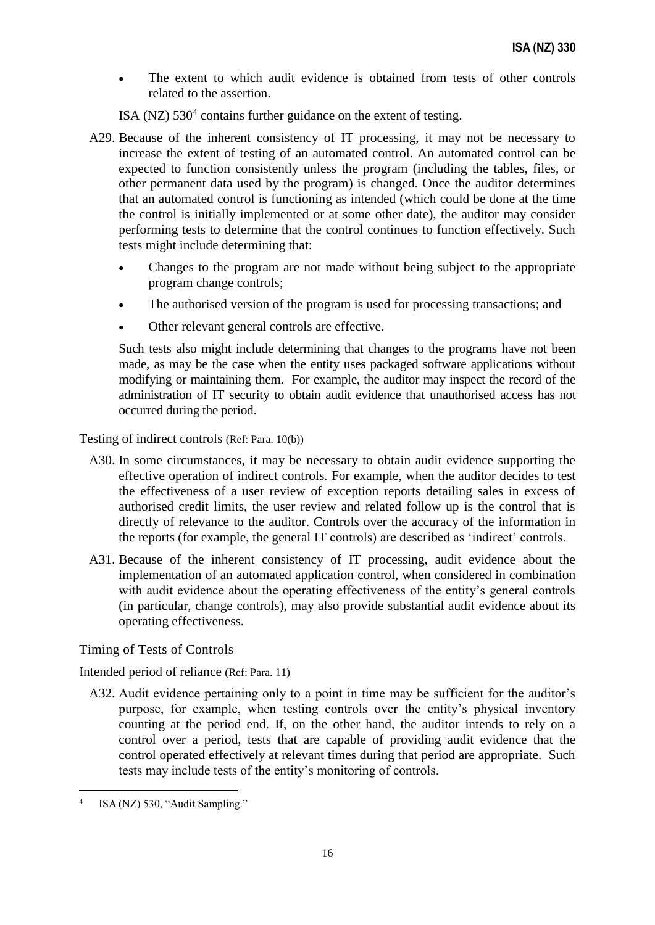- The extent to which audit evidence is obtained from tests of other controls related to the assertion.
- ISA (NZ) 530<sup>4</sup> contains further guidance on the extent of testing.
- A29. Because of the inherent consistency of IT processing, it may not be necessary to increase the extent of testing of an automated control. An automated control can be expected to function consistently unless the program (including the tables, files, or other permanent data used by the program) is changed. Once the auditor determines that an automated control is functioning as intended (which could be done at the time the control is initially implemented or at some other date), the auditor may consider performing tests to determine that the control continues to function effectively. Such tests might include determining that:
	- Changes to the program are not made without being subject to the appropriate program change controls;
	- The authorised version of the program is used for processing transactions; and
	- Other relevant general controls are effective.

Such tests also might include determining that changes to the programs have not been made, as may be the case when the entity uses packaged software applications without modifying or maintaining them. For example, the auditor may inspect the record of the administration of IT security to obtain audit evidence that unauthorised access has not occurred during the period.

Testing of indirect controls (Ref: Para. 10(b))

- A30. In some circumstances, it may be necessary to obtain audit evidence supporting the effective operation of indirect controls. For example, when the auditor decides to test the effectiveness of a user review of exception reports detailing sales in excess of authorised credit limits, the user review and related follow up is the control that is directly of relevance to the auditor. Controls over the accuracy of the information in the reports (for example, the general IT controls) are described as 'indirect' controls.
- A31. Because of the inherent consistency of IT processing, audit evidence about the implementation of an automated application control, when considered in combination with audit evidence about the operating effectiveness of the entity's general controls (in particular, change controls), may also provide substantial audit evidence about its operating effectiveness.

#### Timing of Tests of Controls

Intended period of reliance (Ref: Para. 11)

A32. Audit evidence pertaining only to a point in time may be sufficient for the auditor's purpose, for example, when testing controls over the entity's physical inventory counting at the period end. If, on the other hand, the auditor intends to rely on a control over a period, tests that are capable of providing audit evidence that the control operated effectively at relevant times during that period are appropriate. Such tests may include tests of the entity's monitoring of controls.

<sup>4</sup> ISA (NZ) 530, "Audit Sampling."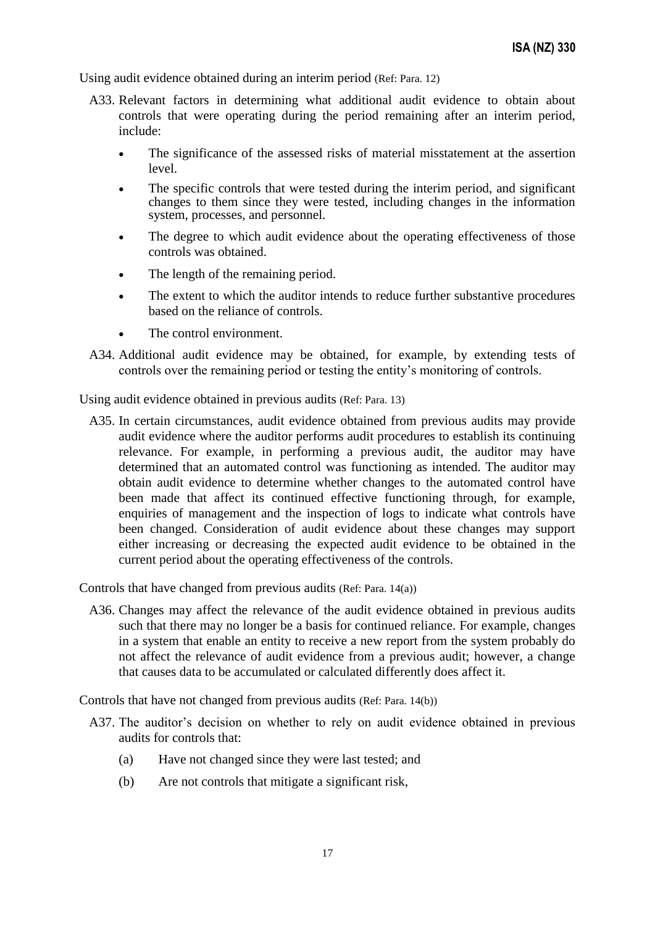Using audit evidence obtained during an interim period (Ref: Para. 12)

- A33. Relevant factors in determining what additional audit evidence to obtain about controls that were operating during the period remaining after an interim period, include:
	- The significance of the assessed risks of material misstatement at the assertion level.
	- The specific controls that were tested during the interim period, and significant changes to them since they were tested, including changes in the information system, processes, and personnel.
	- The degree to which audit evidence about the operating effectiveness of those controls was obtained.
	- The length of the remaining period.
	- The extent to which the auditor intends to reduce further substantive procedures based on the reliance of controls.
	- The control environment.
- A34. Additional audit evidence may be obtained, for example, by extending tests of controls over the remaining period or testing the entity's monitoring of controls.

Using audit evidence obtained in previous audits (Ref: Para. 13)

A35. In certain circumstances, audit evidence obtained from previous audits may provide audit evidence where the auditor performs audit procedures to establish its continuing relevance. For example, in performing a previous audit, the auditor may have determined that an automated control was functioning as intended. The auditor may obtain audit evidence to determine whether changes to the automated control have been made that affect its continued effective functioning through, for example, enquiries of management and the inspection of logs to indicate what controls have been changed. Consideration of audit evidence about these changes may support either increasing or decreasing the expected audit evidence to be obtained in the current period about the operating effectiveness of the controls.

Controls that have changed from previous audits (Ref: Para. 14(a))

A36. Changes may affect the relevance of the audit evidence obtained in previous audits such that there may no longer be a basis for continued reliance. For example, changes in a system that enable an entity to receive a new report from the system probably do not affect the relevance of audit evidence from a previous audit; however, a change that causes data to be accumulated or calculated differently does affect it.

Controls that have not changed from previous audits (Ref: Para. 14(b))

- A37. The auditor's decision on whether to rely on audit evidence obtained in previous audits for controls that:
	- (a) Have not changed since they were last tested; and
	- (b) Are not controls that mitigate a significant risk,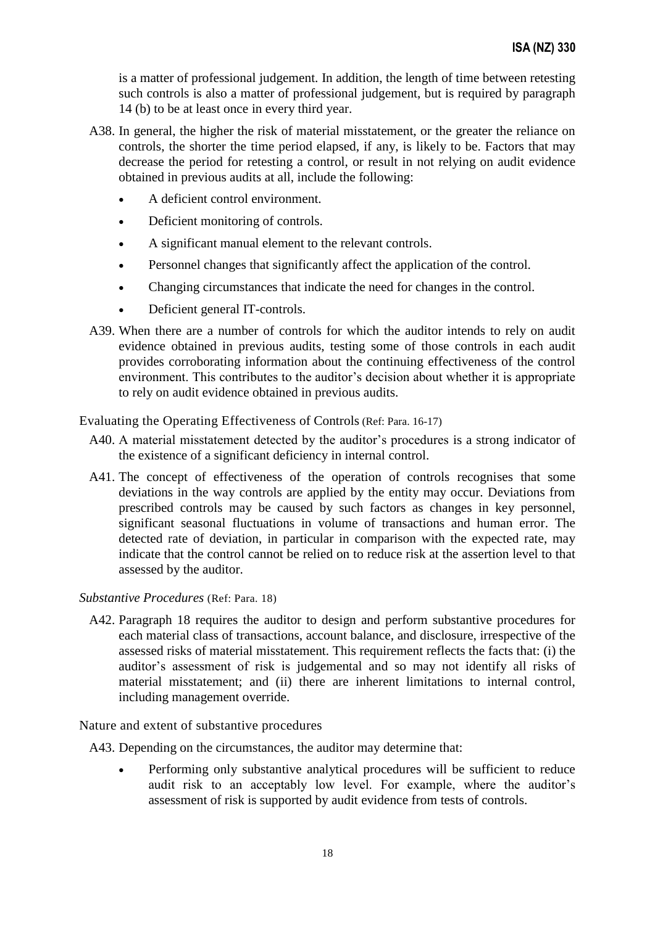is a matter of professional judgement. In addition, the length of time between retesting such controls is also a matter of professional judgement, but is required by paragraph 14 (b) to be at least once in every third year.

- A38. In general, the higher the risk of material misstatement, or the greater the reliance on controls, the shorter the time period elapsed, if any, is likely to be. Factors that may decrease the period for retesting a control, or result in not relying on audit evidence obtained in previous audits at all, include the following:
	- A deficient control environment.
	- Deficient monitoring of controls.
	- A significant manual element to the relevant controls.
	- Personnel changes that significantly affect the application of the control.
	- Changing circumstances that indicate the need for changes in the control.
	- Deficient general IT-controls.
- A39. When there are a number of controls for which the auditor intends to rely on audit evidence obtained in previous audits, testing some of those controls in each audit provides corroborating information about the continuing effectiveness of the control environment. This contributes to the auditor's decision about whether it is appropriate to rely on audit evidence obtained in previous audits.

Evaluating the Operating Effectiveness of Controls (Ref: Para. 16-17)

- A40. A material misstatement detected by the auditor's procedures is a strong indicator of the existence of a significant deficiency in internal control.
- A41. The concept of effectiveness of the operation of controls recognises that some deviations in the way controls are applied by the entity may occur. Deviations from prescribed controls may be caused by such factors as changes in key personnel, significant seasonal fluctuations in volume of transactions and human error. The detected rate of deviation, in particular in comparison with the expected rate, may indicate that the control cannot be relied on to reduce risk at the assertion level to that assessed by the auditor.

*Substantive Procedures* (Ref: Para. 18)

A42. Paragraph 18 requires the auditor to design and perform substantive procedures for each material class of transactions, account balance, and disclosure, irrespective of the assessed risks of material misstatement. This requirement reflects the facts that: (i) the auditor's assessment of risk is judgemental and so may not identify all risks of material misstatement; and (ii) there are inherent limitations to internal control, including management override.

Nature and extent of substantive procedures

A43. Depending on the circumstances, the auditor may determine that:

 Performing only substantive analytical procedures will be sufficient to reduce audit risk to an acceptably low level. For example, where the auditor's assessment of risk is supported by audit evidence from tests of controls.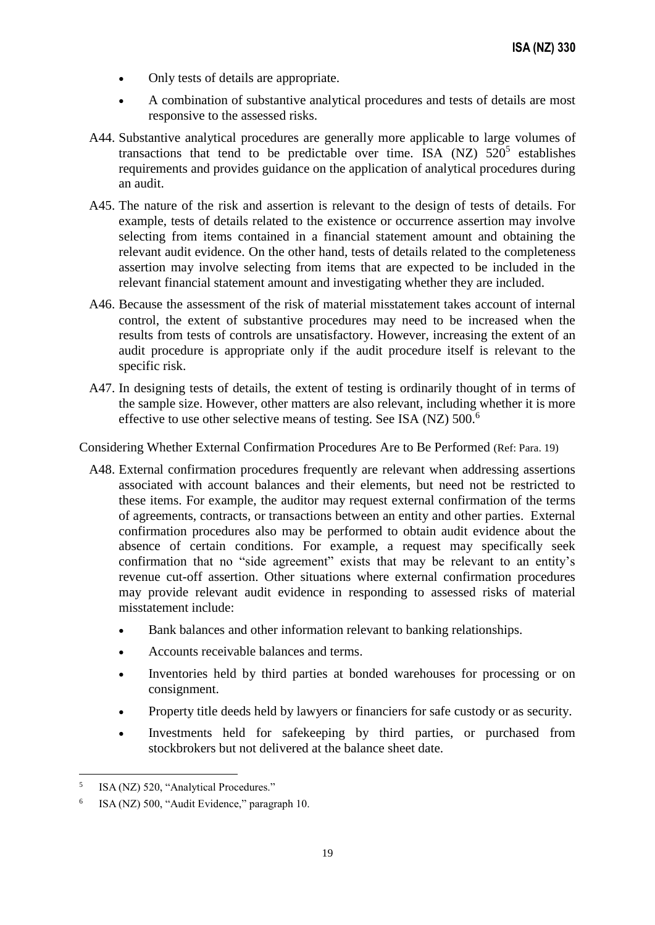- Only tests of details are appropriate.
- A combination of substantive analytical procedures and tests of details are most responsive to the assessed risks.
- A44. Substantive analytical procedures are generally more applicable to large volumes of transactions that tend to be predictable over time. ISA  $(NZ)$  520<sup>5</sup> establishes requirements and provides guidance on the application of analytical procedures during an audit.
- A45. The nature of the risk and assertion is relevant to the design of tests of details. For example, tests of details related to the existence or occurrence assertion may involve selecting from items contained in a financial statement amount and obtaining the relevant audit evidence. On the other hand, tests of details related to the completeness assertion may involve selecting from items that are expected to be included in the relevant financial statement amount and investigating whether they are included.
- A46. Because the assessment of the risk of material misstatement takes account of internal control, the extent of substantive procedures may need to be increased when the results from tests of controls are unsatisfactory. However, increasing the extent of an audit procedure is appropriate only if the audit procedure itself is relevant to the specific risk.
- A47. In designing tests of details, the extent of testing is ordinarily thought of in terms of the sample size. However, other matters are also relevant, including whether it is more effective to use other selective means of testing. See ISA (NZ) 500.<sup>6</sup>

Considering Whether External Confirmation Procedures Are to Be Performed (Ref: Para. 19)

- A48. External confirmation procedures frequently are relevant when addressing assertions associated with account balances and their elements, but need not be restricted to these items. For example, the auditor may request external confirmation of the terms of agreements, contracts, or transactions between an entity and other parties. External confirmation procedures also may be performed to obtain audit evidence about the absence of certain conditions. For example, a request may specifically seek confirmation that no "side agreement" exists that may be relevant to an entity's revenue cut-off assertion. Other situations where external confirmation procedures may provide relevant audit evidence in responding to assessed risks of material misstatement include:
	- Bank balances and other information relevant to banking relationships.
	- Accounts receivable balances and terms.
	- Inventories held by third parties at bonded warehouses for processing or on consignment.
	- Property title deeds held by lawyers or financiers for safe custody or as security.
	- Investments held for safekeeping by third parties, or purchased from stockbrokers but not delivered at the balance sheet date.

<sup>5</sup> ISA (NZ) 520, "Analytical Procedures."

<sup>6</sup> ISA (NZ) 500, "Audit Evidence," paragraph 10.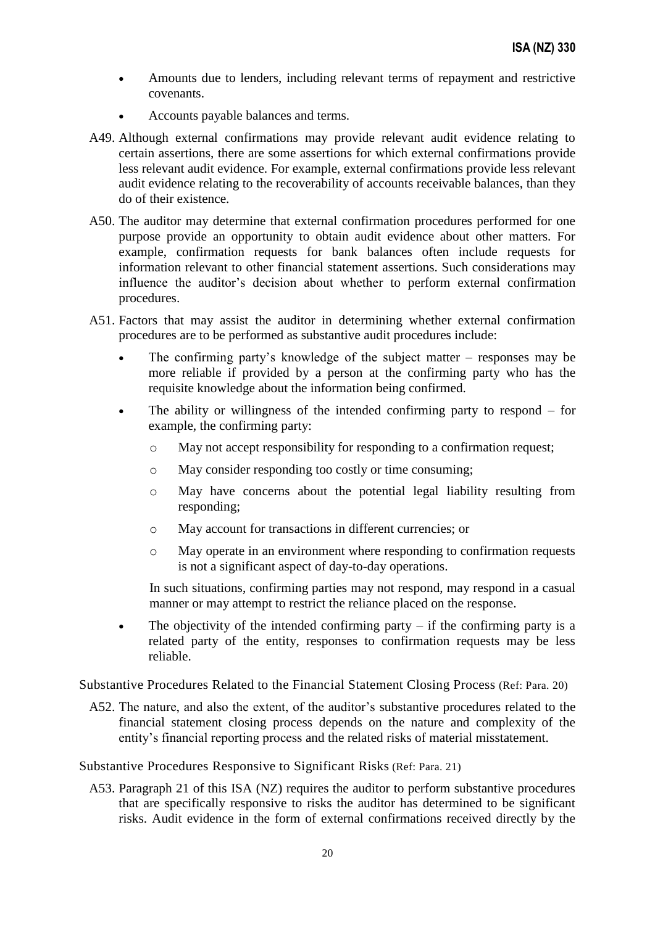- Amounts due to lenders, including relevant terms of repayment and restrictive covenants.
- Accounts payable balances and terms.
- A49. Although external confirmations may provide relevant audit evidence relating to certain assertions, there are some assertions for which external confirmations provide less relevant audit evidence. For example, external confirmations provide less relevant audit evidence relating to the recoverability of accounts receivable balances, than they do of their existence.
- A50. The auditor may determine that external confirmation procedures performed for one purpose provide an opportunity to obtain audit evidence about other matters. For example, confirmation requests for bank balances often include requests for information relevant to other financial statement assertions. Such considerations may influence the auditor's decision about whether to perform external confirmation procedures.
- A51. Factors that may assist the auditor in determining whether external confirmation procedures are to be performed as substantive audit procedures include:
	- The confirming party's knowledge of the subject matter responses may be more reliable if provided by a person at the confirming party who has the requisite knowledge about the information being confirmed.
	- The ability or willingness of the intended confirming party to respond for example, the confirming party:
		- o May not accept responsibility for responding to a confirmation request;
		- o May consider responding too costly or time consuming;
		- o May have concerns about the potential legal liability resulting from responding;
		- o May account for transactions in different currencies; or
		- o May operate in an environment where responding to confirmation requests is not a significant aspect of day-to-day operations.

In such situations, confirming parties may not respond, may respond in a casual manner or may attempt to restrict the reliance placed on the response.

The objectivity of the intended confirming party – if the confirming party is a related party of the entity, responses to confirmation requests may be less reliable.

Substantive Procedures Related to the Financial Statement Closing Process (Ref: Para. 20)

A52. The nature, and also the extent, of the auditor's substantive procedures related to the financial statement closing process depends on the nature and complexity of the entity's financial reporting process and the related risks of material misstatement.

Substantive Procedures Responsive to Significant Risks (Ref: Para. 21)

A53. Paragraph 21 of this ISA (NZ) requires the auditor to perform substantive procedures that are specifically responsive to risks the auditor has determined to be significant risks. Audit evidence in the form of external confirmations received directly by the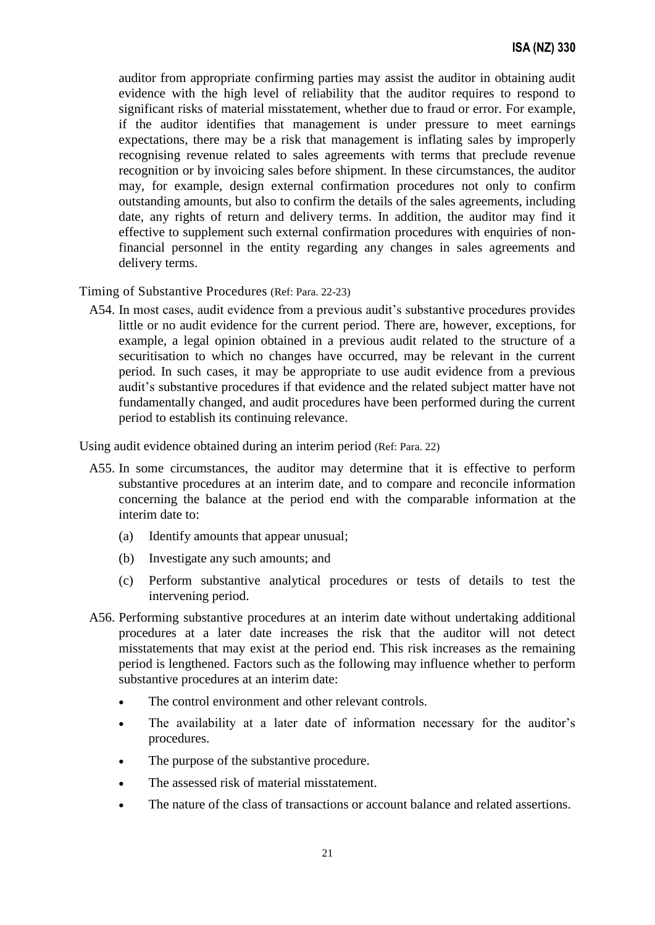auditor from appropriate confirming parties may assist the auditor in obtaining audit evidence with the high level of reliability that the auditor requires to respond to significant risks of material misstatement, whether due to fraud or error. For example, if the auditor identifies that management is under pressure to meet earnings expectations, there may be a risk that management is inflating sales by improperly recognising revenue related to sales agreements with terms that preclude revenue recognition or by invoicing sales before shipment. In these circumstances, the auditor may, for example, design external confirmation procedures not only to confirm outstanding amounts, but also to confirm the details of the sales agreements, including date, any rights of return and delivery terms. In addition, the auditor may find it effective to supplement such external confirmation procedures with enquiries of nonfinancial personnel in the entity regarding any changes in sales agreements and delivery terms.

#### Timing of Substantive Procedures (Ref: Para. 22-23)

A54. In most cases, audit evidence from a previous audit's substantive procedures provides little or no audit evidence for the current period. There are, however, exceptions, for example, a legal opinion obtained in a previous audit related to the structure of a securitisation to which no changes have occurred, may be relevant in the current period. In such cases, it may be appropriate to use audit evidence from a previous audit's substantive procedures if that evidence and the related subject matter have not fundamentally changed, and audit procedures have been performed during the current period to establish its continuing relevance.

Using audit evidence obtained during an interim period (Ref: Para. 22)

- A55. In some circumstances, the auditor may determine that it is effective to perform substantive procedures at an interim date, and to compare and reconcile information concerning the balance at the period end with the comparable information at the interim date to:
	- (a) Identify amounts that appear unusual;
	- (b) Investigate any such amounts; and
	- (c) Perform substantive analytical procedures or tests of details to test the intervening period.
- A56. Performing substantive procedures at an interim date without undertaking additional procedures at a later date increases the risk that the auditor will not detect misstatements that may exist at the period end. This risk increases as the remaining period is lengthened. Factors such as the following may influence whether to perform substantive procedures at an interim date:
	- The control environment and other relevant controls.
	- The availability at a later date of information necessary for the auditor's procedures.
	- The purpose of the substantive procedure.
	- The assessed risk of material misstatement.
	- The nature of the class of transactions or account balance and related assertions.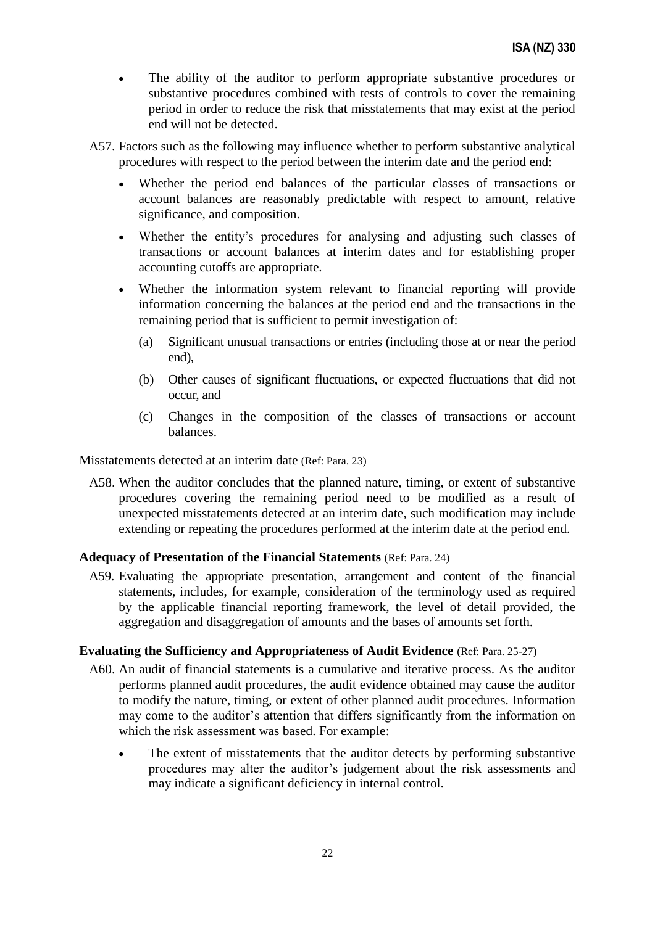- The ability of the auditor to perform appropriate substantive procedures or substantive procedures combined with tests of controls to cover the remaining period in order to reduce the risk that misstatements that may exist at the period end will not be detected.
- A57. Factors such as the following may influence whether to perform substantive analytical procedures with respect to the period between the interim date and the period end:
	- Whether the period end balances of the particular classes of transactions or account balances are reasonably predictable with respect to amount, relative significance, and composition.
	- Whether the entity's procedures for analysing and adjusting such classes of transactions or account balances at interim dates and for establishing proper accounting cutoffs are appropriate.
	- Whether the information system relevant to financial reporting will provide information concerning the balances at the period end and the transactions in the remaining period that is sufficient to permit investigation of:
		- (a) Significant unusual transactions or entries (including those at or near the period end),
		- (b) Other causes of significant fluctuations, or expected fluctuations that did not occur, and
		- (c) Changes in the composition of the classes of transactions or account balances.

Misstatements detected at an interim date (Ref: Para. 23)

A58. When the auditor concludes that the planned nature, timing, or extent of substantive procedures covering the remaining period need to be modified as a result of unexpected misstatements detected at an interim date, such modification may include extending or repeating the procedures performed at the interim date at the period end.

#### **Adequacy of Presentation of the Financial Statements** (Ref: Para. 24)

A59. Evaluating the appropriate presentation, arrangement and content of the financial statements, includes, for example, consideration of the terminology used as required by the applicable financial reporting framework, the level of detail provided, the aggregation and disaggregation of amounts and the bases of amounts set forth.

#### **Evaluating the Sufficiency and Appropriateness of Audit Evidence** (Ref: Para. 25-27)

- A60. An audit of financial statements is a cumulative and iterative process. As the auditor performs planned audit procedures, the audit evidence obtained may cause the auditor to modify the nature, timing, or extent of other planned audit procedures. Information may come to the auditor's attention that differs significantly from the information on which the risk assessment was based. For example:
	- The extent of misstatements that the auditor detects by performing substantive procedures may alter the auditor's judgement about the risk assessments and may indicate a significant deficiency in internal control.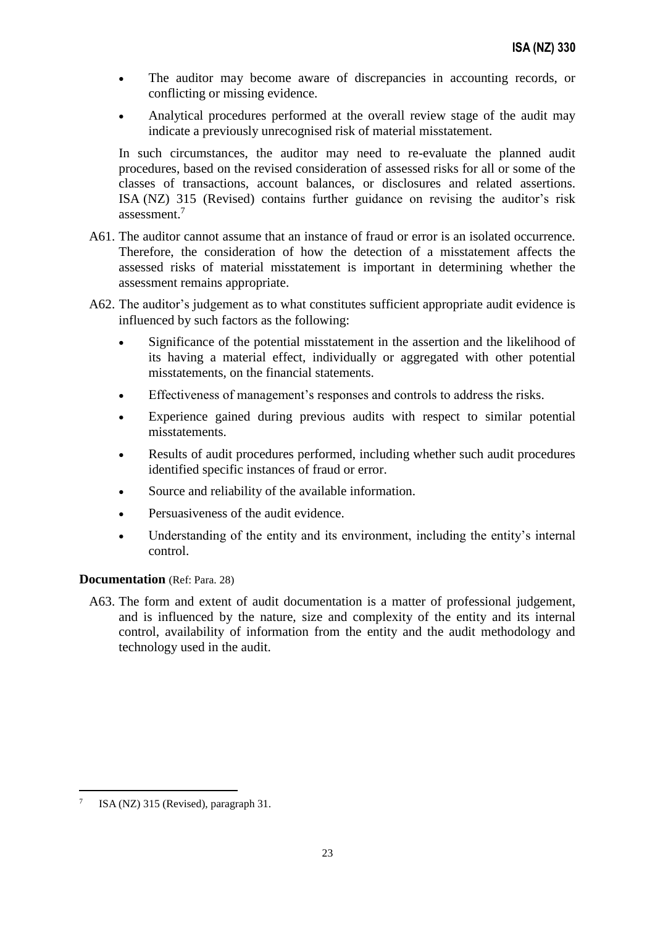- The auditor may become aware of discrepancies in accounting records, or conflicting or missing evidence.
- Analytical procedures performed at the overall review stage of the audit may indicate a previously unrecognised risk of material misstatement.

In such circumstances, the auditor may need to re-evaluate the planned audit procedures, based on the revised consideration of assessed risks for all or some of the classes of transactions, account balances, or disclosures and related assertions. ISA (NZ) 315 (Revised) contains further guidance on revising the auditor's risk assessment.<sup>7</sup>

- A61. The auditor cannot assume that an instance of fraud or error is an isolated occurrence. Therefore, the consideration of how the detection of a misstatement affects the assessed risks of material misstatement is important in determining whether the assessment remains appropriate.
- A62. The auditor's judgement as to what constitutes sufficient appropriate audit evidence is influenced by such factors as the following:
	- Significance of the potential misstatement in the assertion and the likelihood of its having a material effect, individually or aggregated with other potential misstatements, on the financial statements.
	- Effectiveness of management's responses and controls to address the risks.
	- Experience gained during previous audits with respect to similar potential misstatements.
	- Results of audit procedures performed, including whether such audit procedures identified specific instances of fraud or error.
	- Source and reliability of the available information.
	- Persuasiveness of the audit evidence.
	- Understanding of the entity and its environment, including the entity's internal control.

#### **Documentation** (Ref: Para. 28)

A63. The form and extent of audit documentation is a matter of professional judgement, and is influenced by the nature, size and complexity of the entity and its internal control, availability of information from the entity and the audit methodology and technology used in the audit.

<sup>7</sup> ISA (NZ) 315 (Revised), paragraph 31.